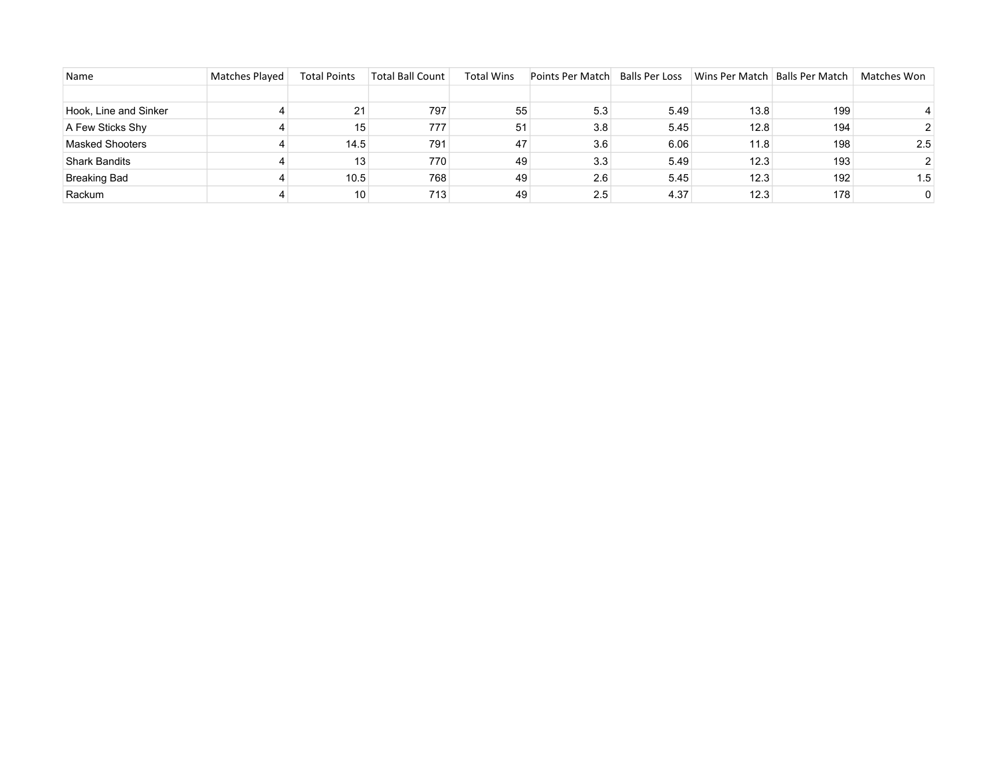| Name                   | <b>Matches Played</b> | <b>Total Points</b> | <b>Total Ball Count</b> | <b>Total Wins</b> | Points Per Match | <b>Balls Per Loss</b> | Wins Per Match   Balls Per Match |     | Matches Won |
|------------------------|-----------------------|---------------------|-------------------------|-------------------|------------------|-----------------------|----------------------------------|-----|-------------|
|                        |                       |                     |                         |                   |                  |                       |                                  |     |             |
| Hook, Line and Sinker  |                       | 21                  | 797                     | 55                | 5.3              | 5.49                  | 13.8                             | 199 |             |
| A Few Sticks Shy       |                       | 15                  | 777                     | 51                | 3.8              | 5.45                  | 12.8                             | 194 |             |
| <b>Masked Shooters</b> |                       | 14.5                | 791                     | 47                | 3.6              | 6.06                  | 11.8                             | 198 | 2.5         |
| <b>Shark Bandits</b>   |                       | 13                  | 770                     | 49                | 3.3              | 5.49                  | 12.3                             | 193 |             |
| <b>Breaking Bad</b>    |                       | 10.5                | 768                     | 49                | 2.6              | 5.45                  | 12.3                             | 192 | 1.5         |
| Rackum                 |                       | 10                  | 713                     | 49                | 2.5              | 4.37                  | 12.3                             | 178 | $\Omega$    |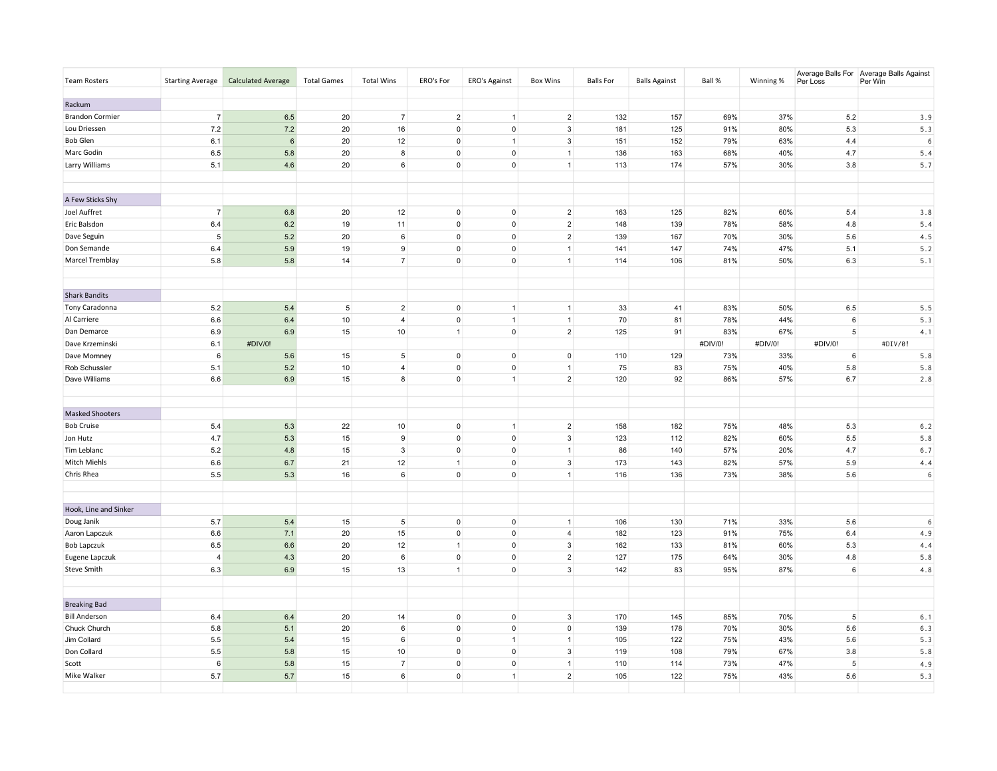| <b>Team Rosters</b>    | <b>Starting Average</b> | <b>Calculated Average</b> | <b>Total Games</b> | <b>Total Wins</b> | ERO's For           | ERO's Against  | <b>Box Wins</b> | <b>Balls For</b> | <b>Balls Against</b> | Ball %  | Winning % | Per Loss        | Average Balls For Average Balls Against<br>Per Win |
|------------------------|-------------------------|---------------------------|--------------------|-------------------|---------------------|----------------|-----------------|------------------|----------------------|---------|-----------|-----------------|----------------------------------------------------|
| Rackum                 |                         |                           |                    |                   |                     |                |                 |                  |                      |         |           |                 |                                                    |
| <b>Brandon Cormier</b> | $\overline{7}$          | 6.5                       | 20                 | $\overline{7}$    | $\overline{2}$      | $\overline{1}$ | $\overline{2}$  | 132              | 157                  | 69%     | 37%       | 5.2             | 3.9                                                |
| Lou Driessen           | 7.2                     | 7.2                       | 20                 | 16                | $\mathsf 0$         | $\mathbf 0$    | 3               | 181              | 125                  | 91%     | 80%       | 5.3             | 5.3                                                |
| <b>Bob Glen</b>        | 6.1                     | 6                         | 20                 | 12                | $\mathsf{o}$        | $\overline{1}$ | $\mathbf{3}$    | 151              | 152                  | 79%     | 63%       | 4.4             | 6                                                  |
| Marc Godin             | 6.5                     | 5.8                       | 20                 | 8                 | $\mathbf 0$         | $\mathbf 0$    | $\overline{1}$  | 136              | 163                  | 68%     | 40%       | 4.7             | 5.4                                                |
| Larry Williams         | 5.1                     | 4.6                       | 20                 | $6\phantom{.}6$   | $\mathsf 0$         | $\pmb{0}$      | $\mathbf{1}$    | 113              | 174                  | 57%     | 30%       | 3.8             | 5.7                                                |
| A Few Sticks Shy       |                         |                           |                    |                   |                     |                |                 |                  |                      |         |           |                 |                                                    |
| Joel Auffret           | $\overline{7}$          | 6.8                       | 20                 | 12                | $\mathbf 0$         | $\mathsf 0$    | $\overline{2}$  | 163              | 125                  | 82%     | 60%       | 5.4             | 3.8                                                |
| Eric Balsdon           | 6.4                     | $6.2\,$                   | 19                 | 11                | $\mathsf{o}$        | $\mathsf{O}$   | $\overline{2}$  | 148              | 139                  | 78%     | 58%       | 4.8             | 5.4                                                |
| Dave Seguin            | 5                       | $5.2\,$                   | 20                 | $\,6\,$           | $\overline{0}$      | $\mathbf 0$    | $\overline{2}$  | 139              | 167                  | 70%     | 30%       | 5.6             | 4.5                                                |
| Don Semande            | 6.4                     | 5.9                       | 19                 | $\boldsymbol{9}$  | $\mathbf 0$         | $\mathbf 0$    | $\mathbf{1}$    | 141              | 147                  | 74%     | 47%       | 5.1             | 5.2                                                |
| Marcel Tremblay        | 5.8                     | 5.8                       | 14                 | $\overline{7}$    | $\overline{0}$      | $\mathbf 0$    | $\mathbf{1}$    | 114              | 106                  | 81%     | 50%       | 6.3             | 5.1                                                |
| <b>Shark Bandits</b>   |                         |                           |                    |                   |                     |                |                 |                  |                      |         |           |                 |                                                    |
| Tony Caradonna         | 5.2                     | 5.4                       | $5\phantom{.0}$    | $\overline{2}$    | $\mathbf 0$         | $\overline{1}$ | $\mathbf{1}$    | 33               | 41                   | 83%     | 50%       | 6.5             | 5.5                                                |
| Al Carriere            | 6.6                     | 6.4                       | 10 <sup>1</sup>    | $\overline{4}$    | $\mathbf 0$         | $\overline{1}$ | $\mathbf{1}$    | 70               | 81                   | 78%     | 44%       | 6               | 5.3                                                |
| Dan Demarce            | 6.9                     | 6.9                       | 15                 | 10                | $\mathbf{1}$        | $\mathbf 0$    | $\overline{2}$  | 125              | 91                   | 83%     | 67%       | $5\overline{5}$ | 4.1                                                |
| Dave Krzeminski        | 6.1                     | #DIV/0!                   |                    |                   |                     |                |                 |                  |                      | #DIV/0! | #DIV/0!   | #DIV/0!         | #DIV/0!                                            |
| Dave Momney            | 6                       | 5.6                       | 15                 | $5\phantom{.0}$   | $\mathbf 0$         | $\mathbf 0$    | $\mathsf 0$     | 110              | 129                  | 73%     | 33%       | $6\overline{6}$ | 5.8                                                |
| Rob Schussler          | 5.1                     | 5.2                       | 10                 | $\overline{4}$    | $\circ$             | $\mathsf{O}$   | $\overline{1}$  | 75               | 83                   | 75%     | 40%       | 5.8             | 5.8                                                |
| Dave Williams          | 6.6                     | 6.9                       | 15                 | $\boldsymbol{8}$  | $\circ$             | $\overline{1}$ | $\overline{2}$  | 120              | 92                   | 86%     | 57%       | 6.7             | 2.8                                                |
| <b>Masked Shooters</b> |                         |                           |                    |                   |                     |                |                 |                  |                      |         |           |                 |                                                    |
| <b>Bob Cruise</b>      | 5.4                     | 5.3                       | 22                 | 10                | $\mathbf 0$         | $\overline{1}$ | $\overline{2}$  | 158              | 182                  | 75%     | 48%       | 5.3             | 6.2                                                |
| Jon Hutz               | 4.7                     | 5.3                       | 15                 | 9                 | $\mathbf 0$         | $\mathbf 0$    | $\mathbf{3}$    | 123              | 112                  | 82%     | 60%       | 5.5             | 5.8                                                |
| Tim Leblanc            | 5.2                     | $4.8\,$                   | 15                 | $\mathbf{3}$      | $\mathsf{O}\xspace$ | $\mathsf{O}$   | $\mathbf{1}$    | 86               | 140                  | 57%     | 20%       | 4.7             | $6.7$                                              |
| Mitch Miehls           | 6.6                     | 6.7                       | 21                 | 12                | $\mathbf{1}$        | $\pmb{0}$      | $\mathbf{3}$    | 173              | 143                  | 82%     | 57%       | 5.9             | 4.4                                                |
| Chris Rhea             | 5.5                     | 5.3                       | 16                 | $\,6\,$           | $\overline{0}$      | $\mathsf 0$    | $\mathbf{1}$    | 116              | 136                  | 73%     | 38%       | 5.6             | 6                                                  |
| Hook, Line and Sinker  |                         |                           |                    |                   |                     |                |                 |                  |                      |         |           |                 |                                                    |
| Doug Janik             | 5.7                     | $5.4$                     | 15                 | $\sqrt{5}$        | $\mathsf 0$         | $\mathbf 0$    | $\mathbf{1}$    | 106              | 130                  | 71%     | 33%       | $5.6\,$         | 6                                                  |
| Aaron Lapczuk          | 6.6                     | 7.1                       | 20                 | 15                | $\mathbf 0$         | $\pmb{0}$      | $\overline{4}$  | 182              | 123                  | 91%     | 75%       | 6.4             | 4.9                                                |
| <b>Bob Lapczuk</b>     | 6.5                     | 6.6                       | 20                 | 12                | $\mathbf{1}$        | $\mathbf 0$    | $\mathbf{3}$    | 162              | 133                  | 81%     | 60%       | 5.3             | 4.4                                                |
| Eugene Lapczuk         | $\overline{4}$          | 4.3                       | 20                 | $\,6\,$           | $\mathbf 0$         | $\pmb{0}$      | $\overline{2}$  | 127              | 175                  | 64%     | 30%       | 4.8             | 5.8                                                |
| Steve Smith            | 6.3                     | 6.9                       | 15                 | 13                | $\mathbf{1}$        | $\mathbf 0$    | 3               | 142              | 83                   | 95%     | 87%       | $6\overline{6}$ | 4.8                                                |
| <b>Breaking Bad</b>    |                         |                           |                    |                   |                     |                |                 |                  |                      |         |           |                 |                                                    |
| <b>Bill Anderson</b>   | 6.4                     | 6.4                       | 20                 | 14                | $\mathbf 0$         | $\mathbf 0$    | $\overline{3}$  | 170              | 145                  | 85%     | 70%       | 5               | 6.1                                                |
| Chuck Church           | 5.8                     | 5.1                       | 20                 | $6\phantom{.}6$   | $\mathsf{o}$        | $\mathbf 0$    | $\mathsf 0$     | 139              | 178                  | 70%     | 30%       | 5.6             | 6.3                                                |
| Jim Collard            | 5.5                     | 5.4                       | 15                 | $6\phantom{.}6$   | $\mathbf 0$         | $\mathbf{1}$   | $\mathbf{1}$    | 105              | 122                  | 75%     | 43%       | 5.6             | 5.3                                                |
| Don Collard            | 5.5                     | 5.8                       | 15                 | 10                | $\mathbf 0$         | $\mathbf 0$    | $\mathbf{3}$    | 119              | 108                  | 79%     | 67%       | 3.8             | 5.8                                                |
| Scott                  | 6                       | 5.8                       | 15                 | $\overline{7}$    | $\mathsf 0$         | $\mathsf{O}$   | $\mathbf{1}$    | 110              | 114                  | 73%     | 47%       | $\,$ 5          | 4.9                                                |
| Mike Walker            | 5.7                     | $5.7\,$                   | 15                 | $6\overline{6}$   | $\overline{0}$      | $\mathbf{1}$   | $\overline{2}$  | 105              | 122                  | 75%     | 43%       | 5.6             | 5.3                                                |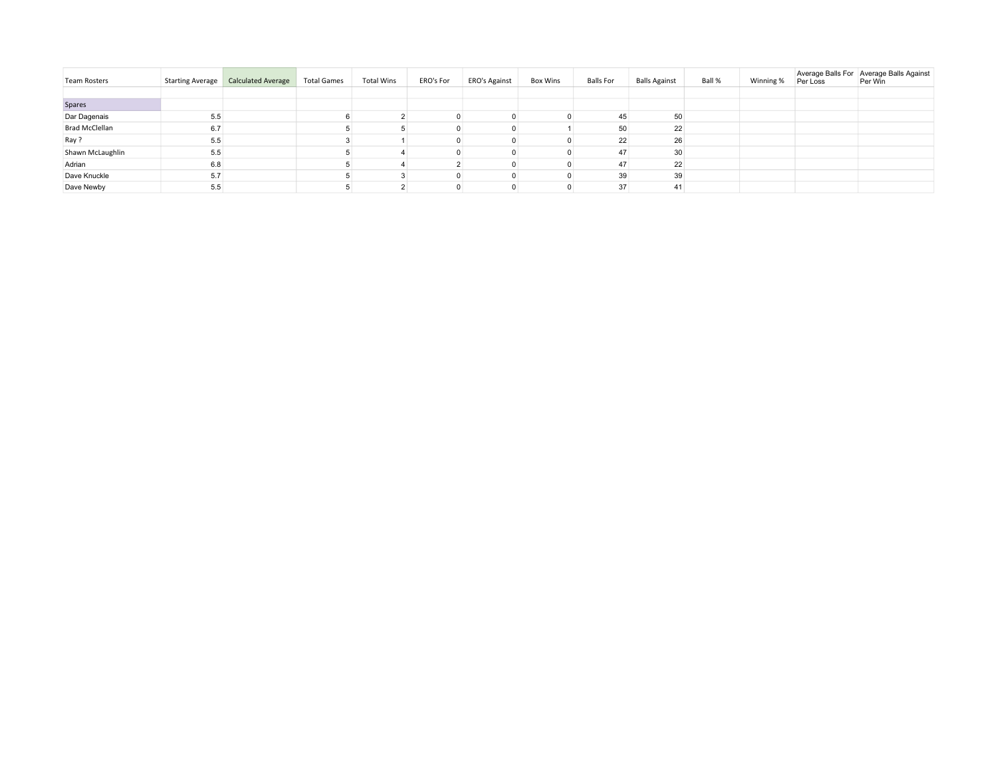| <b>Team Rosters</b>   | Starting Average | <b>Calculated Average</b> | <b>Total Games</b> | <b>Total Wins</b> | ERO's For | ERO's Against | Box Wins | Balls For | <b>Balls Against</b> | Ball % | Winning % | Per Loss | Average Balls For Average Balls Against<br>Per Win |
|-----------------------|------------------|---------------------------|--------------------|-------------------|-----------|---------------|----------|-----------|----------------------|--------|-----------|----------|----------------------------------------------------|
|                       |                  |                           |                    |                   |           |               |          |           |                      |        |           |          |                                                    |
| Spares                |                  |                           |                    |                   |           |               |          |           |                      |        |           |          |                                                    |
| Dar Dagenais          | 5.5              |                           |                    |                   |           |               |          | 45        | 50                   |        |           |          |                                                    |
| <b>Brad McClellan</b> | 6.7              |                           |                    |                   |           |               |          | 50        | 22                   |        |           |          |                                                    |
| Ray ?                 | 5.5              |                           |                    |                   |           |               |          | 22        | 26                   |        |           |          |                                                    |
| Shawn McLaughlin      | 5.5              |                           |                    |                   |           |               |          | 47        | 30                   |        |           |          |                                                    |
| Adrian                | 6.8              |                           |                    |                   |           |               |          | 47        | 22                   |        |           |          |                                                    |
| Dave Knuckle          | 5.7              |                           |                    |                   |           |               |          | 39        | 39                   |        |           |          |                                                    |
| Dave Newby            | 5.5              |                           |                    |                   |           |               |          | 37        | 41                   |        |           |          |                                                    |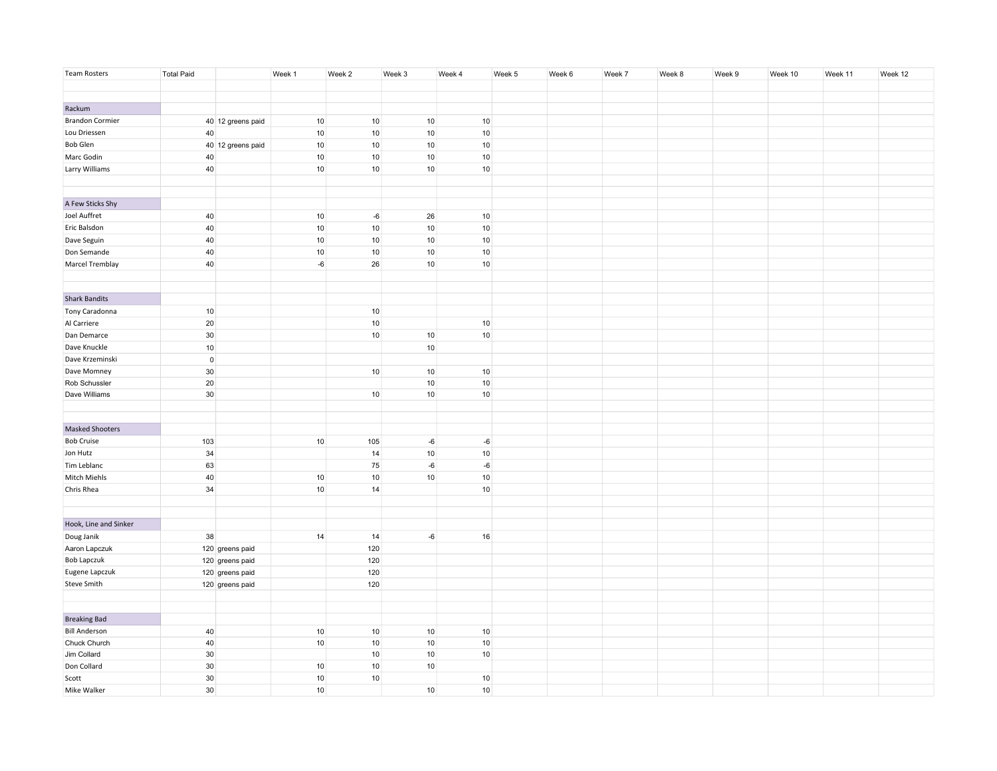| Team Rosters           | <b>Total Paid</b> |                   | Week 1          | Week 2          | Week 3          | Week 4          | Week 5 | Week 6 | Week 7 | Week 8 | Week 9 | Week 10 | Week 11 | Week 12 |
|------------------------|-------------------|-------------------|-----------------|-----------------|-----------------|-----------------|--------|--------|--------|--------|--------|---------|---------|---------|
|                        |                   |                   |                 |                 |                 |                 |        |        |        |        |        |         |         |         |
|                        |                   |                   |                 |                 |                 |                 |        |        |        |        |        |         |         |         |
| Rackum                 |                   |                   |                 |                 |                 |                 |        |        |        |        |        |         |         |         |
| <b>Brandon Cormier</b> |                   | 40 12 greens paid | $10$            | 10 <sub>1</sub> | 10              | 10              |        |        |        |        |        |         |         |         |
| Lou Driessen           | 40                |                   | $10$            | $10$            | 10 <sub>1</sub> | 10 <sup>1</sup> |        |        |        |        |        |         |         |         |
| Bob Glen               |                   | 40 12 greens paid | 10 <sub>1</sub> | 10 <sup>1</sup> | 10 <sup>1</sup> | 10              |        |        |        |        |        |         |         |         |
| Marc Godin             | 40                |                   | 10 <sub>1</sub> | 10 <sup>1</sup> | 10 <sup>1</sup> | 10 <sup>1</sup> |        |        |        |        |        |         |         |         |
| Larry Williams         | 40                |                   | 10 <sup>1</sup> | 10 <sup>1</sup> | 10              | 10 <sup>1</sup> |        |        |        |        |        |         |         |         |
|                        |                   |                   |                 |                 |                 |                 |        |        |        |        |        |         |         |         |
|                        |                   |                   |                 |                 |                 |                 |        |        |        |        |        |         |         |         |
| A Few Sticks Shy       |                   |                   |                 |                 |                 |                 |        |        |        |        |        |         |         |         |
| Joel Auffret           | 40                |                   | 10 <sup>1</sup> | $-6$            | 26              | 10              |        |        |        |        |        |         |         |         |
| Eric Balsdon           | 40                |                   | 10 <sub>1</sub> | 10 <sup>1</sup> | 10 <sup>1</sup> | 10              |        |        |        |        |        |         |         |         |
| Dave Seguin            | 40                |                   | $10$            | $10$            | $10$            | 10 <sub>1</sub> |        |        |        |        |        |         |         |         |
| Don Semande            | 40                |                   | 10 <sub>1</sub> | 10 <sup>1</sup> | 10              | 10 <sup>1</sup> |        |        |        |        |        |         |         |         |
| Marcel Tremblay        | 40                |                   | $-6$            | 26              | $10$            | 10 <sup>1</sup> |        |        |        |        |        |         |         |         |
|                        |                   |                   |                 |                 |                 |                 |        |        |        |        |        |         |         |         |
|                        |                   |                   |                 |                 |                 |                 |        |        |        |        |        |         |         |         |
| <b>Shark Bandits</b>   |                   |                   |                 |                 |                 |                 |        |        |        |        |        |         |         |         |
| Tony Caradonna         | $10$              |                   |                 | 10              |                 |                 |        |        |        |        |        |         |         |         |
| Al Carriere            | $20\,$            |                   |                 | $10$            |                 | 10 <sup>1</sup> |        |        |        |        |        |         |         |         |
| Dan Demarce            | 30                |                   |                 | 10 <sup>1</sup> | 10              | 10              |        |        |        |        |        |         |         |         |
| Dave Knuckle           | $10$              |                   |                 |                 | $10$            |                 |        |        |        |        |        |         |         |         |
| Dave Krzeminski        | $\mathbf 0$       |                   |                 |                 |                 |                 |        |        |        |        |        |         |         |         |
| Dave Momney            | 30                |                   |                 | 10 <sup>1</sup> | 10 <sup>1</sup> | 10              |        |        |        |        |        |         |         |         |
| Rob Schussler          | $20\,$            |                   |                 |                 | 10              | 10 <sup>1</sup> |        |        |        |        |        |         |         |         |
| Dave Williams          | 30                |                   |                 | 10 <sup>1</sup> | $10$            | 10 <sup>1</sup> |        |        |        |        |        |         |         |         |
|                        |                   |                   |                 |                 |                 |                 |        |        |        |        |        |         |         |         |
|                        |                   |                   |                 |                 |                 |                 |        |        |        |        |        |         |         |         |
| <b>Masked Shooters</b> |                   |                   |                 |                 |                 |                 |        |        |        |        |        |         |         |         |
| <b>Bob Cruise</b>      | 103               |                   | $10$            | 105             | -6              | -6              |        |        |        |        |        |         |         |         |
| Jon Hutz               | $34\,$            |                   |                 | 14              | $10\,$          | 10 <sup>1</sup> |        |        |        |        |        |         |         |         |
| Tim Leblanc            | 63                |                   |                 | 75              | $-6$            | $-6$            |        |        |        |        |        |         |         |         |
| Mitch Miehls           | 40                |                   | $10$            | $10$            | 10 <sub>1</sub> | 10 <sub>1</sub> |        |        |        |        |        |         |         |         |
| Chris Rhea             | 34                |                   | 10 <sup>1</sup> | 14              |                 | 10 <sup>1</sup> |        |        |        |        |        |         |         |         |
|                        |                   |                   |                 |                 |                 |                 |        |        |        |        |        |         |         |         |
|                        |                   |                   |                 |                 |                 |                 |        |        |        |        |        |         |         |         |
| Hook, Line and Sinker  |                   |                   |                 |                 |                 |                 |        |        |        |        |        |         |         |         |
| Doug Janik             | 38                |                   | 14              | 14              | $-6$            | 16              |        |        |        |        |        |         |         |         |
| Aaron Lapczuk          |                   | 120 greens paid   |                 | 120             |                 |                 |        |        |        |        |        |         |         |         |
| Bob Lapczuk            |                   | 120 greens paid   |                 | 120             |                 |                 |        |        |        |        |        |         |         |         |
| Eugene Lapczuk         |                   | 120 greens paid   |                 | 120             |                 |                 |        |        |        |        |        |         |         |         |
| <b>Steve Smith</b>     |                   | 120 greens paid   |                 | 120             |                 |                 |        |        |        |        |        |         |         |         |
|                        |                   |                   |                 |                 |                 |                 |        |        |        |        |        |         |         |         |
|                        |                   |                   |                 |                 |                 |                 |        |        |        |        |        |         |         |         |
| <b>Breaking Bad</b>    |                   |                   |                 |                 |                 |                 |        |        |        |        |        |         |         |         |
| <b>Bill Anderson</b>   | 40                |                   | 10 <sup>1</sup> | 10              | 10              | 10              |        |        |        |        |        |         |         |         |
| Chuck Church           | 40                |                   | $10$            | $10$            | $10$            | 10 <sub>1</sub> |        |        |        |        |        |         |         |         |
| Jim Collard            | $30\,$            |                   |                 | $10$            | 10 <sub>1</sub> | 10              |        |        |        |        |        |         |         |         |
| Don Collard            | 30                |                   | 10 <sup>1</sup> | 10 <sup>1</sup> | 10              |                 |        |        |        |        |        |         |         |         |
| Scott                  | 30                |                   | 10 <sup>1</sup> | 10 <sup>1</sup> |                 | 10 <sup>1</sup> |        |        |        |        |        |         |         |         |
| Mike Walker            | $30\,$            |                   | 10 <sup>1</sup> |                 | 10              | 10 <sub>1</sub> |        |        |        |        |        |         |         |         |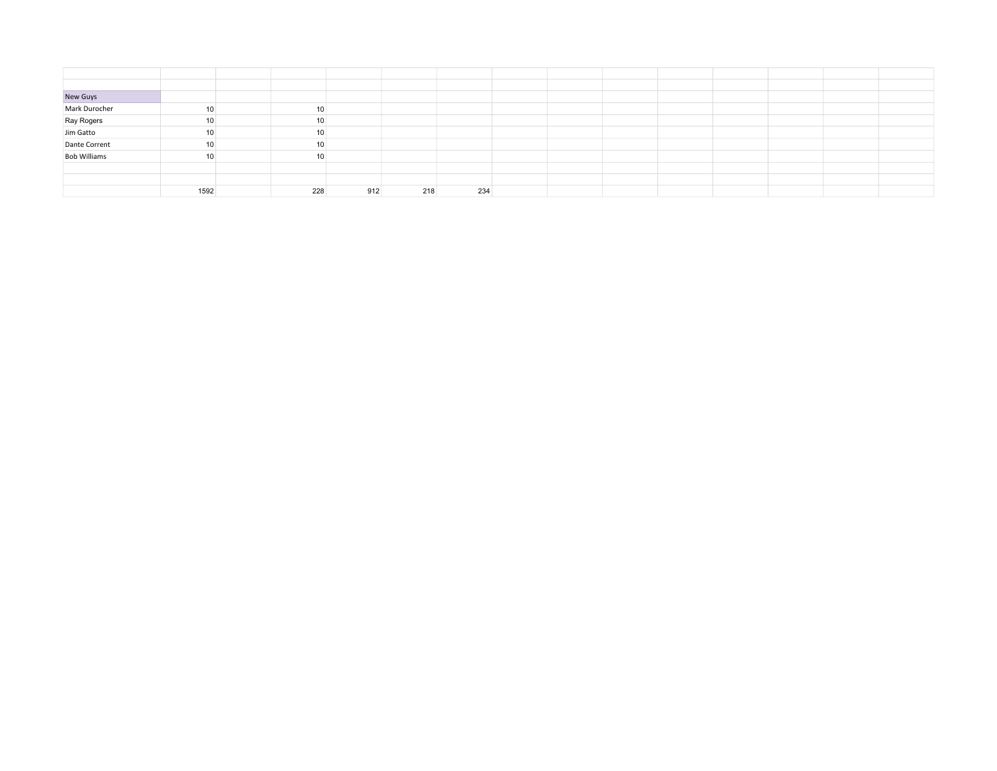| New Guys<br>Mark Durocher     | 10   | 10  |     |     |     |  |  |  |  |
|-------------------------------|------|-----|-----|-----|-----|--|--|--|--|
| Ray Rogers<br>Jim Gatto       | 10   | 10  |     |     |     |  |  |  |  |
|                               | 10   | 10  |     |     |     |  |  |  |  |
| Dante Corrent<br>Bob Williams | 10   | 10  |     |     |     |  |  |  |  |
|                               | 10   | 10  |     |     |     |  |  |  |  |
|                               |      |     |     |     |     |  |  |  |  |
|                               |      |     |     |     |     |  |  |  |  |
|                               | 1592 | 228 | 912 | 218 | 234 |  |  |  |  |